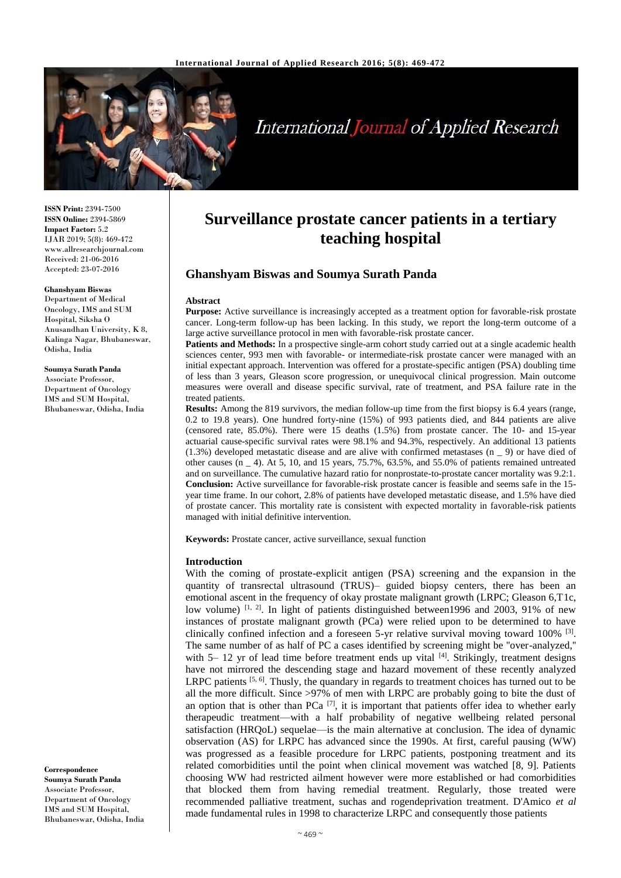

# **International Journal of Applied Research**

**ISSN Print:** 2394-7500 **ISSN Online:** 2394-5869 **Impact Factor:** 5.2 IJAR 2019; 5(8): 469-472 www.allresearchjournal.com Received: 21-06-2016 Accepted: 23-07-2016

#### **Ghanshyam Biswas**

Department of Medical Oncology, IMS and SUM Hospital, Siksha O Anusandhan University, K 8, Kalinga Nagar, Bhubaneswar, Odisha, India

**Soumya Surath Panda** Associate Professor, Department of Oncology IMS and SUM Hospital, Bhubaneswar, Odisha, India

**Correspondence Soumya Surath Panda** Associate Professor, Department of Oncology IMS and SUM Hospital, Bhubaneswar, Odisha, India

## **Surveillance prostate cancer patients in a tertiary teaching hospital**

## **Ghanshyam Biswas and Soumya Surath Panda**

#### **Abstract**

**Purpose:** Active surveillance is increasingly accepted as a treatment option for favorable-risk prostate cancer. Long-term follow-up has been lacking. In this study, we report the long-term outcome of a large active surveillance protocol in men with favorable-risk prostate cancer.

**Patients and Methods:** In a prospective single-arm cohort study carried out at a single academic health sciences center, 993 men with favorable- or intermediate-risk prostate cancer were managed with an initial expectant approach. Intervention was offered for a prostate-specific antigen (PSA) doubling time of less than 3 years, Gleason score progression, or unequivocal clinical progression. Main outcome measures were overall and disease specific survival, rate of treatment, and PSA failure rate in the treated patients.

**Results:** Among the 819 survivors, the median follow-up time from the first biopsy is 6.4 years (range, 0.2 to 19.8 years). One hundred forty-nine (15%) of 993 patients died, and 844 patients are alive (censored rate, 85.0%). There were 15 deaths (1.5%) from prostate cancer. The 10- and 15-year actuarial cause-specific survival rates were 98.1% and 94.3%, respectively. An additional 13 patients (1.3%) developed metastatic disease and are alive with confirmed metastases (n \_ 9) or have died of other causes (n \_ 4). At 5, 10, and 15 years, 75.7%, 63.5%, and 55.0% of patients remained untreated and on surveillance. The cumulative hazard ratio for nonprostate-to-prostate cancer mortality was 9.2:1. **Conclusion:** Active surveillance for favorable-risk prostate cancer is feasible and seems safe in the 15 year time frame. In our cohort, 2.8% of patients have developed metastatic disease, and 1.5% have died of prostate cancer. This mortality rate is consistent with expected mortality in favorable-risk patients managed with initial definitive intervention.

**Keywords:** Prostate cancer, active surveillance, sexual function

#### **Introduction**

With the coming of prostate-explicit antigen (PSA) screening and the expansion in the quantity of transrectal ultrasound (TRUS)– guided biopsy centers, there has been an emotional ascent in the frequency of okay prostate malignant growth (LRPC; Gleason 6,T1c, low volume) <sup>[1, 2]</sup>. In light of patients distinguished between1996 and 2003, 91% of new instances of prostate malignant growth (PCa) were relied upon to be determined to have clinically confined infection and a foreseen 5-yr relative survival moving toward  $100\%$  <sup>[3]</sup>. The same number of as half of PC a cases identified by screening might be ''over-analyzed,'' with 5– 12 yr of lead time before treatment ends up vital  $[4]$ . Strikingly, treatment designs have not mirrored the descending stage and hazard movement of these recently analyzed LRPC patients  $[5, 6]$ . Thusly, the quandary in regards to treatment choices has turned out to be all the more difficult. Since >97% of men with LRPC are probably going to bite the dust of an option that is other than PCa  $^{[7]}$ , it is important that patients offer idea to whether early therapeudic treatment—with a half probability of negative wellbeing related personal satisfaction (HRQoL) sequelae—is the main alternative at conclusion. The idea of dynamic observation (AS) for LRPC has advanced since the 1990s. At first, careful pausing (WW) was progressed as a feasible procedure for LRPC patients, postponing treatment and its related comorbidities until the point when clinical movement was watched [8, 9]. Patients choosing WW had restricted ailment however were more established or had comorbidities that blocked them from having remedial treatment. Regularly, those treated were recommended palliative treatment, suchas and rogendeprivation treatment. D'Amico *et al* made fundamental rules in 1998 to characterize LRPC and consequently those patients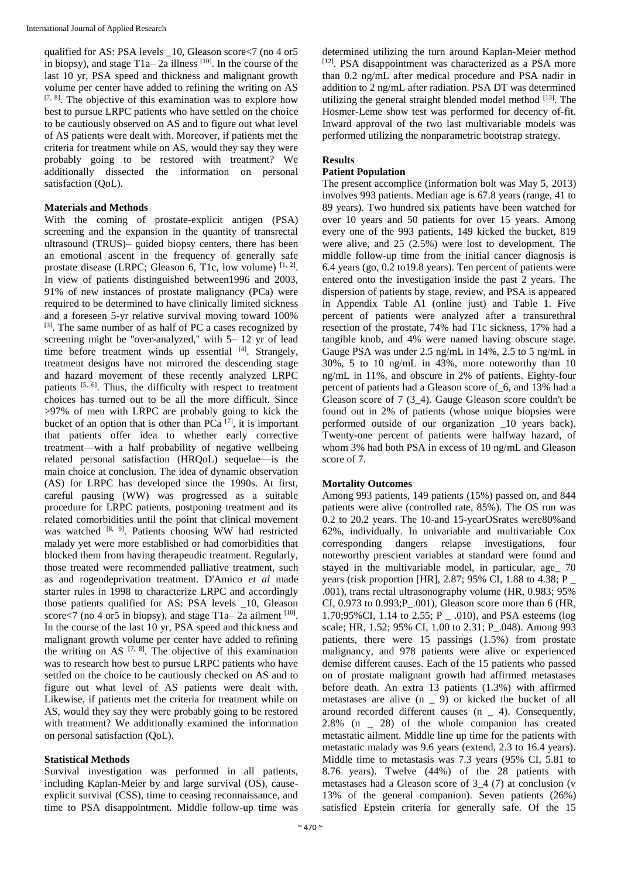qualified for AS: PSA levels \_10, Gleason score<7 (no 4 or5 in biopsy), and stage  $T1a-2a$  illness <sup>[10]</sup>. In the course of the last 10 yr, PSA speed and thickness and malignant growth volume per center have added to refining the writing on AS  $[7, 8]$ . The objective of this examination was to explore how best to pursue LRPC patients who have settled on the choice to be cautiously observed on AS and to figure out what level of AS patients were dealt with. Moreover, if patients met the criteria for treatment while on AS, would they say they were probably going to be restored with treatment? We additionally dissected the information on personal satisfaction (QoL).

#### **Materials and Methods**

With the coming of prostate-explicit antigen (PSA) screening and the expansion in the quantity of transrectal ultrasound (TRUS)– guided biopsy centers, there has been an emotional ascent in the frequency of generally safe prostate disease (LRPC; Gleason 6, T1c, low volume)  $[1, 2]$ . In view of patients distinguished between1996 and 2003, 91% of new instances of prostate malignancy (PCa) were required to be determined to have clinically limited sickness and a foreseen 5-yr relative survival moving toward 100% [3]. The same number of as half of PC a cases recognized by screening might be "over-analyzed," with 5– 12 yr of lead time before treatment winds up essential  $[4]$ . Strangely, treatment designs have not mirrored the descending stage and hazard movement of these recently analyzed LRPC patients [5, 6]. Thus, the difficulty with respect to treatment choices has turned out to be all the more difficult. Since >97% of men with LRPC are probably going to kick the bucket of an option that is other than  $PCa$ <sup>[7]</sup>, it is important that patients offer idea to whether early corrective treatment—with a half probability of negative wellbeing related personal satisfaction (HRQoL) sequelae—is the main choice at conclusion. The idea of dynamic observation (AS) for LRPC has developed since the 1990s. At first, careful pausing (WW) was progressed as a suitable procedure for LRPC patients, postponing treatment and its related comorbidities until the point that clinical movement was watched <sup>[8, 9]</sup>. Patients choosing WW had restricted malady yet were more established or had comorbidities that blocked them from having therapeudic treatment. Regularly, those treated were recommended palliative treatment, such as and rogendeprivation treatment. D'Amico *et al* made starter rules in 1998 to characterize LRPC and accordingly those patients qualified for AS: PSA levels \_10, Gleason score<7 (no 4 or 5 in biopsy), and stage  $T1a-2a$  ailment  $[10]$ . In the course of the last 10 yr, PSA speed and thickness and malignant growth volume per center have added to refining the writing on AS  $[7, 8]$ . The objective of this examination was to research how best to pursue LRPC patients who have settled on the choice to be cautiously checked on AS and to figure out what level of AS patients were dealt with. Likewise, if patients met the criteria for treatment while on AS, would they say they were probably going to be restored with treatment? We additionally examined the information on personal satisfaction (QoL).

## **Statistical Methods**

Survival investigation was performed in all patients, including Kaplan-Meier by and large survival (OS), causeexplicit survival (CSS), time to ceasing reconnaissance, and time to PSA disappointment. Middle follow-up time was

determined utilizing the turn around Kaplan-Meier method [12]. PSA disappointment was characterized as a PSA more than 0.2 ng/mL after medical procedure and PSA nadir in addition to 2 ng/mL after radiation. PSA DT was determined utilizing the general straight blended model method [13]. The Hosmer-Leme show test was performed for decency of-fit. Inward approval of the two last multivariable models was performed utilizing the nonparametric bootstrap strategy.

#### **Results**

#### **Patient Population**

The present accomplice (information bolt was May 5, 2013) involves 993 patients. Median age is 67.8 years (range, 41 to 89 years). Two hundred six patients have been watched for over 10 years and 50 patients for over 15 years. Among every one of the 993 patients, 149 kicked the bucket, 819 were alive, and 25 (2.5%) were lost to development. The middle follow-up time from the initial cancer diagnosis is 6.4 years (go, 0.2 to19.8 years). Ten percent of patients were entered onto the investigation inside the past 2 years. The dispersion of patients by stage, review, and PSA is appeared in Appendix Table A1 (online just) and Table 1. Five percent of patients were analyzed after a transurethral resection of the prostate, 74% had T1c sickness, 17% had a tangible knob, and 4% were named having obscure stage. Gauge PSA was under 2.5 ng/mL in 14%, 2.5 to 5 ng/mL in 30%, 5 to 10 ng/mL in 43%, more noteworthy than 10 ng/mL in 11%, and obscure in 2% of patients. Eighty-four percent of patients had a Gleason score of\_6, and 13% had a Gleason score of 7 (3\_4). Gauge Gleason score couldn't be found out in 2% of patients (whose unique biopsies were performed outside of our organization \_10 years back). Twenty-one percent of patients were halfway hazard, of whom 3% had both PSA in excess of 10 ng/mL and Gleason score of 7.

## **Mortality Outcomes**

Among 993 patients, 149 patients (15%) passed on, and 844 patients were alive (controlled rate, 85%). The OS run was 0.2 to 20.2 years. The 10-and 15-yearOSrates were80%and 62%, individually. In univariable and multivariable Cox corresponding dangers relapse investigations, four noteworthy prescient variables at standard were found and stayed in the multivariable model, in particular, age 70 years (risk proportion [HR], 2.87; 95% CI, 1.88 to 4.38; P \_ .001), trans rectal ultrasonography volume (HR, 0.983; 95% CI, 0.973 to 0.993;P\_.001), Gleason score more than 6 (HR, 1.70;95%CI, 1.14 to 2.55; P \_ .010), and PSA esteems (log scale; HR, 1.52; 95% CI, 1.00 to 2.31; P\_.048). Among 993 patients, there were 15 passings (1.5%) from prostate malignancy, and 978 patients were alive or experienced demise different causes. Each of the 15 patients who passed on of prostate malignant growth had affirmed metastases before death. An extra 13 patients (1.3%) with affirmed metastases are alive (n \_ 9) or kicked the bucket of all around recorded different causes (n \_ 4). Consequently, 2.8% (n \_ 28) of the whole companion has created metastatic ailment. Middle line up time for the patients with metastatic malady was 9.6 years (extend, 2.3 to 16.4 years). Middle time to metastasis was 7.3 years (95% CI, 5.81 to 8.76 years). Twelve (44%) of the 28 patients with metastases had a Gleason score of 3\_4 (7) at conclusion (v 13% of the general companion). Seven patients (26%) satisfied Epstein criteria for generally safe. Of the 15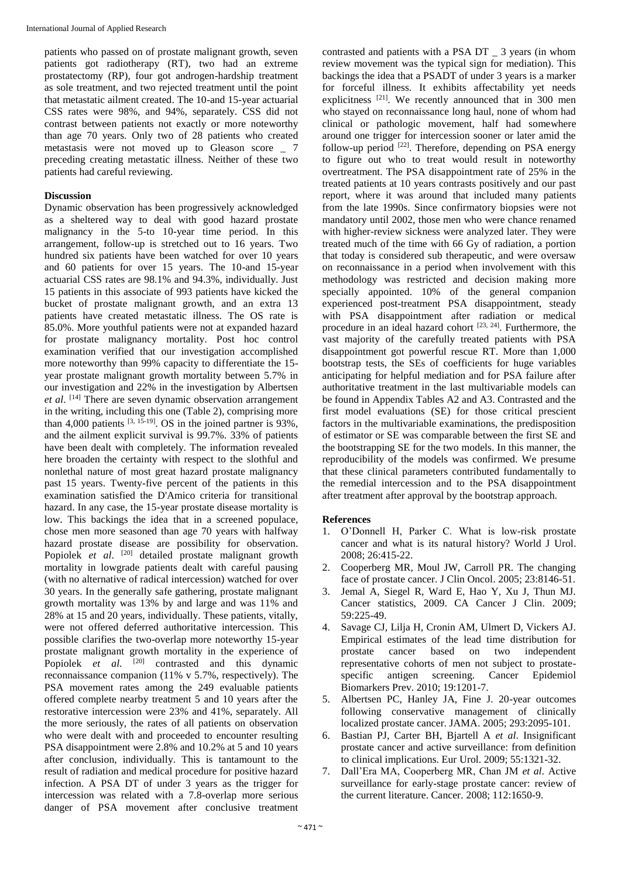patients who passed on of prostate malignant growth, seven patients got radiotherapy (RT), two had an extreme prostatectomy (RP), four got androgen-hardship treatment as sole treatment, and two rejected treatment until the point that metastatic ailment created. The 10-and 15-year actuarial CSS rates were 98%, and 94%, separately. CSS did not contrast between patients not exactly or more noteworthy than age 70 years. Only two of 28 patients who created metastasis were not moved up to Gleason score \_ 7 preceding creating metastatic illness. Neither of these two patients had careful reviewing.

#### **Discussion**

Dynamic observation has been progressively acknowledged as a sheltered way to deal with good hazard prostate malignancy in the 5-to 10-year time period. In this arrangement, follow-up is stretched out to 16 years. Two hundred six patients have been watched for over 10 years and 60 patients for over 15 years. The 10-and 15-year actuarial CSS rates are 98.1% and 94.3%, individually. Just 15 patients in this associate of 993 patients have kicked the bucket of prostate malignant growth, and an extra 13 patients have created metastatic illness. The OS rate is 85.0%. More youthful patients were not at expanded hazard for prostate malignancy mortality. Post hoc control examination verified that our investigation accomplished more noteworthy than 99% capacity to differentiate the 15 year prostate malignant growth mortality between 5.7% in our investigation and 22% in the investigation by Albertsen *et al*. [14] There are seven dynamic observation arrangement in the writing, including this one (Table 2), comprising more than 4,000 patients  $[3, 15-19]$ . OS in the joined partner is 93%, and the ailment explicit survival is 99.7%. 33% of patients have been dealt with completely. The information revealed here broaden the certainty with respect to the slothful and nonlethal nature of most great hazard prostate malignancy past 15 years. Twenty-five percent of the patients in this examination satisfied the D'Amico criteria for transitional hazard. In any case, the 15-year prostate disease mortality is low. This backings the idea that in a screened populace, chose men more seasoned than age 70 years with halfway hazard prostate disease are possibility for observation. Popiolek *et al.* <sup>[20]</sup> detailed prostate malignant growth mortality in lowgrade patients dealt with careful pausing (with no alternative of radical intercession) watched for over 30 years. In the generally safe gathering, prostate malignant growth mortality was 13% by and large and was 11% and 28% at 15 and 20 years, individually. These patients, vitally, were not offered deferred authoritative intercession. This possible clarifies the two-overlap more noteworthy 15-year prostate malignant growth mortality in the experience of Popiolek *et al.* <sup>[20]</sup> contrasted and this dynamic reconnaissance companion (11% v 5.7%, respectively). The PSA movement rates among the 249 evaluable patients offered complete nearby treatment 5 and 10 years after the restorative intercession were 23% and 41%, separately. All the more seriously, the rates of all patients on observation who were dealt with and proceeded to encounter resulting PSA disappointment were 2.8% and 10.2% at 5 and 10 years after conclusion, individually. This is tantamount to the result of radiation and medical procedure for positive hazard infection. A PSA DT of under 3 years as the trigger for intercession was related with a 7.8-overlap more serious danger of PSA movement after conclusive treatment

contrasted and patients with a PSA DT \_ 3 years (in whom review movement was the typical sign for mediation). This backings the idea that a PSADT of under 3 years is a marker for forceful illness. It exhibits affectability yet needs explicitness [21]. We recently announced that in 300 men who stayed on reconnaissance long haul, none of whom had clinical or pathologic movement, half had somewhere around one trigger for intercession sooner or later amid the follow-up period  $^{[22]}$ . Therefore, depending on PSA energy to figure out who to treat would result in noteworthy overtreatment. The PSA disappointment rate of 25% in the treated patients at 10 years contrasts positively and our past report, where it was around that included many patients from the late 1990s. Since confirmatory biopsies were not mandatory until 2002, those men who were chance renamed with higher-review sickness were analyzed later. They were treated much of the time with 66 Gy of radiation, a portion that today is considered sub therapeutic, and were oversaw on reconnaissance in a period when involvement with this methodology was restricted and decision making more specially appointed. 10% of the general companion experienced post-treatment PSA disappointment, steady with PSA disappointment after radiation or medical procedure in an ideal hazard cohort  $[23, 24]$ . Furthermore, the vast majority of the carefully treated patients with PSA disappointment got powerful rescue RT. More than 1,000 bootstrap tests, the SEs of coefficients for huge variables anticipating for helpful mediation and for PSA failure after authoritative treatment in the last multivariable models can be found in Appendix Tables A2 and A3. Contrasted and the first model evaluations (SE) for those critical prescient factors in the multivariable examinations, the predisposition of estimator or SE was comparable between the first SE and the bootstrapping SE for the two models. In this manner, the reproducibility of the models was confirmed. We presume that these clinical parameters contributed fundamentally to the remedial intercession and to the PSA disappointment after treatment after approval by the bootstrap approach.

#### **References**

- 1. O'Donnell H, Parker C. What is low-risk prostate cancer and what is its natural history? World J Urol. 2008; 26:415-22.
- 2. Cooperberg MR, Moul JW, Carroll PR. The changing face of prostate cancer. J Clin Oncol. 2005; 23:8146-51.
- 3. Jemal A, Siegel R, Ward E, Hao Y, Xu J, Thun MJ. Cancer statistics, 2009. CA Cancer J Clin. 2009; 59:225-49.
- 4. Savage CJ, Lilja H, Cronin AM, Ulmert D, Vickers AJ. Empirical estimates of the lead time distribution for prostate cancer based on two independent representative cohorts of men not subject to prostatespecific antigen screening. Cancer Epidemiol Biomarkers Prev. 2010; 19:1201-7.
- 5. Albertsen PC, Hanley JA, Fine J. 20-year outcomes following conservative management of clinically localized prostate cancer. JAMA. 2005; 293:2095-101.
- 6. Bastian PJ, Carter BH, Bjartell A *et al*. Insignificant prostate cancer and active surveillance: from definition to clinical implications. Eur Urol. 2009; 55:1321-32.
- 7. Dall'Era MA, Cooperberg MR, Chan JM *et al*. Active surveillance for early-stage prostate cancer: review of the current literature. Cancer. 2008; 112:1650-9.